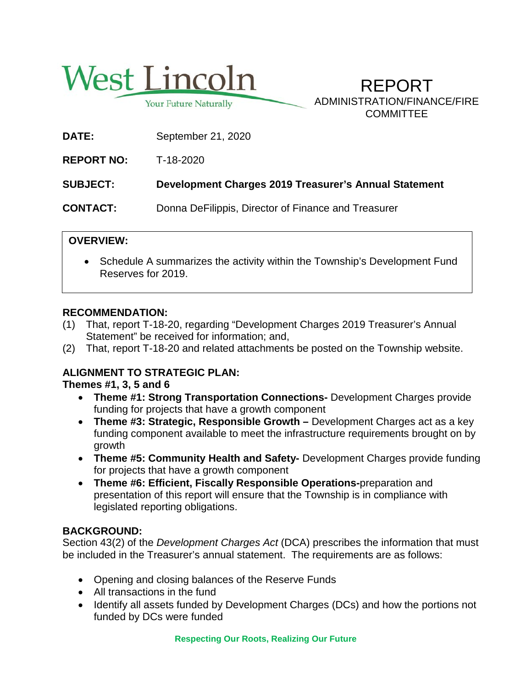

Your Future Naturally

REPORT ADMINISTRATION/FINANCE/FIRE **COMMITTEE** 

**DATE:** September 21, 2020

**REPORT NO:** T-18-2020

**SUBJECT: Development Charges 2019 Treasurer's Annual Statement**

**CONTACT:** Donna DeFilippis, Director of Finance and Treasurer

# **OVERVIEW:**

• Schedule A summarizes the activity within the Township's Development Fund Reserves for 2019.

## **RECOMMENDATION:**

- (1) That, report T-18-20, regarding "Development Charges 2019 Treasurer's Annual Statement" be received for information; and,
- (2) That, report T-18-20 and related attachments be posted on the Township website.

# **ALIGNMENT TO STRATEGIC PLAN:**

**Themes #1, 3, 5 and 6**

- **Theme #1: Strong Transportation Connections-** Development Charges provide funding for projects that have a growth component
- **Theme #3: Strategic, Responsible Growth –** Development Charges act as a key funding component available to meet the infrastructure requirements brought on by growth
- **Theme #5: Community Health and Safety-** Development Charges provide funding for projects that have a growth component
- **Theme #6: Efficient, Fiscally Responsible Operations-**preparation and presentation of this report will ensure that the Township is in compliance with legislated reporting obligations.

## **BACKGROUND:**

Section 43(2) of the *Development Charges Act* (DCA) prescribes the information that must be included in the Treasurer's annual statement. The requirements are as follows:

- Opening and closing balances of the Reserve Funds
- All transactions in the fund
- Identify all assets funded by Development Charges (DCs) and how the portions not funded by DCs were funded

**Respecting Our Roots, Realizing Our Future**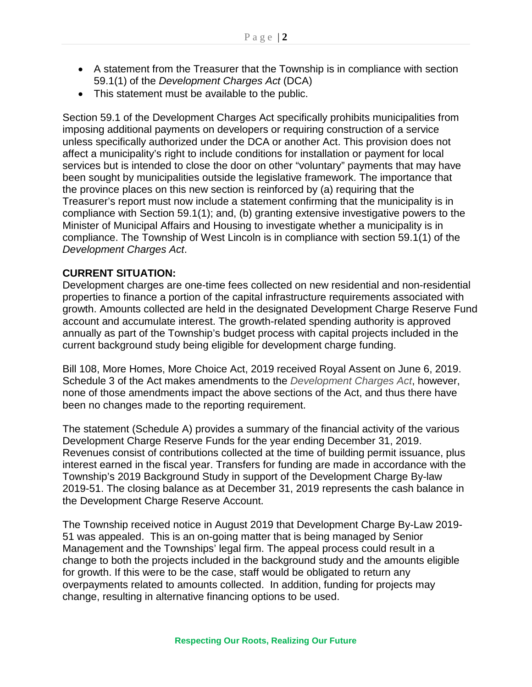- A statement from the Treasurer that the Township is in compliance with section 59.1(1) of the *Development Charges Act* (DCA)
- This statement must be available to the public.

Section 59.1 of the Development Charges Act specifically prohibits municipalities from imposing additional payments on developers or requiring construction of a service unless specifically authorized under the DCA or another Act. This provision does not affect a municipality's right to include conditions for installation or payment for local services but is intended to close the door on other "voluntary" payments that may have been sought by municipalities outside the legislative framework. The importance that the province places on this new section is reinforced by (a) requiring that the Treasurer's report must now include a statement confirming that the municipality is in compliance with Section 59.1(1); and, (b) granting extensive investigative powers to the Minister of Municipal Affairs and Housing to investigate whether a municipality is in compliance. The Township of West Lincoln is in compliance with section 59.1(1) of the *Development Charges Act*.

#### **CURRENT SITUATION:**

Development charges are one-time fees collected on new residential and non-residential properties to finance a portion of the capital infrastructure requirements associated with growth. Amounts collected are held in the designated Development Charge Reserve Fund account and accumulate interest. The growth-related spending authority is approved annually as part of the Township's budget process with capital projects included in the current background study being eligible for development charge funding.

Bill 108, More Homes, More Choice Act, 2019 received Royal Assent on June 6, 2019. Schedule 3 of the Act makes amendments to the *Development Charges Act*, however, none of those amendments impact the above sections of the Act, and thus there have been no changes made to the reporting requirement.

The statement (Schedule A) provides a summary of the financial activity of the various Development Charge Reserve Funds for the year ending December 31, 2019. Revenues consist of contributions collected at the time of building permit issuance, plus interest earned in the fiscal year. Transfers for funding are made in accordance with the Township's 2019 Background Study in support of the Development Charge By-law 2019-51. The closing balance as at December 31, 2019 represents the cash balance in the Development Charge Reserve Account.

The Township received notice in August 2019 that Development Charge By-Law 2019- 51 was appealed. This is an on-going matter that is being managed by Senior Management and the Townships' legal firm. The appeal process could result in a change to both the projects included in the background study and the amounts eligible for growth. If this were to be the case, staff would be obligated to return any overpayments related to amounts collected. In addition, funding for projects may change, resulting in alternative financing options to be used.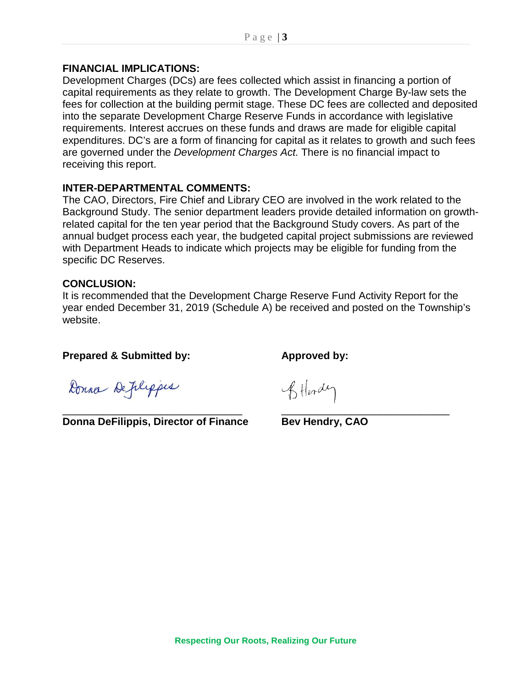#### **FINANCIAL IMPLICATIONS:**

Development Charges (DCs) are fees collected which assist in financing a portion of capital requirements as they relate to growth. The Development Charge By-law sets the fees for collection at the building permit stage. These DC fees are collected and deposited into the separate Development Charge Reserve Funds in accordance with legislative requirements. Interest accrues on these funds and draws are made for eligible capital expenditures. DC's are a form of financing for capital as it relates to growth and such fees are governed under the *Development Charges Act.* There is no financial impact to receiving this report.

#### **INTER-DEPARTMENTAL COMMENTS:**

The CAO, Directors, Fire Chief and Library CEO are involved in the work related to the Background Study. The senior department leaders provide detailed information on growthrelated capital for the ten year period that the Background Study covers. As part of the annual budget process each year, the budgeted capital project submissions are reviewed with Department Heads to indicate which projects may be eligible for funding from the specific DC Reserves.

#### **CONCLUSION:**

It is recommended that the Development Charge Reserve Fund Activity Report for the year ended December 31, 2019 (Schedule A) be received and posted on the Township's website.

#### **Prepared & Submitted by: Approved by:**

Donna Deplippes

\_\_\_\_\_\_\_\_\_\_\_\_\_\_\_\_\_\_\_\_\_\_\_\_\_\_\_\_\_\_\_ \_\_\_\_\_\_\_\_\_\_\_\_\_\_\_\_\_\_\_\_\_\_\_\_\_\_\_\_\_ **Donna DeFilippis, Director of Finance Bev Hendry, CAO** 

Stlerdy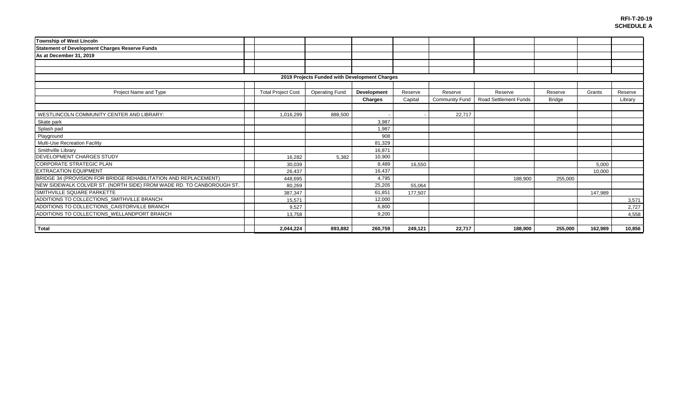| Township of West Lincoln                                             |  |                           |                       |             |         |                       |                              |               |         |         |  |  |
|----------------------------------------------------------------------|--|---------------------------|-----------------------|-------------|---------|-----------------------|------------------------------|---------------|---------|---------|--|--|
| <b>Statement of Development Charges Reserve Funds</b>                |  |                           |                       |             |         |                       |                              |               |         |         |  |  |
| As at December 31, 2019                                              |  |                           |                       |             |         |                       |                              |               |         |         |  |  |
|                                                                      |  |                           |                       |             |         |                       |                              |               |         |         |  |  |
|                                                                      |  |                           |                       |             |         |                       |                              |               |         |         |  |  |
| 2019 Projects Funded with Development Charges                        |  |                           |                       |             |         |                       |                              |               |         |         |  |  |
|                                                                      |  |                           |                       |             |         |                       |                              |               |         |         |  |  |
| Project Name and Type                                                |  | <b>Total Project Cost</b> | <b>Operating Fund</b> | Development | Reserve | Reserve               | Reserve                      | Reserve       | Grants  | Reserve |  |  |
|                                                                      |  |                           |                       | Charges     | Capital | <b>Community Fund</b> | <b>Road Settlement Funds</b> | <b>Bridge</b> |         | Library |  |  |
|                                                                      |  |                           |                       |             |         |                       |                              |               |         |         |  |  |
| WESTLINCOLN COMMUNITY CENTER AND LIBRARY:                            |  | 1,016,299                 | 888,500               |             |         | 22,717                |                              |               |         |         |  |  |
| Skate park                                                           |  |                           |                       | 3,987       |         |                       |                              |               |         |         |  |  |
| Splash pad                                                           |  |                           |                       | 1,987       |         |                       |                              |               |         |         |  |  |
| Playground                                                           |  |                           |                       | 908         |         |                       |                              |               |         |         |  |  |
| Multi-Use Recreation Facility                                        |  |                           |                       | 81,329      |         |                       |                              |               |         |         |  |  |
| Smithville Library                                                   |  |                           |                       | 16.871      |         |                       |                              |               |         |         |  |  |
| DEVELOPMENT CHARGES STUDY                                            |  | 16.282                    | 5,382                 | 10,900      |         |                       |                              |               |         |         |  |  |
| <b>CORPORATE STRATEGIC PLAN</b>                                      |  | 30,039                    |                       | 8,489       | 16,550  |                       |                              |               | 5,000   |         |  |  |
| <b>EXTRACATION EQUIPMENT</b>                                         |  | 26,437                    |                       | 16,437      |         |                       |                              |               | 10,000  |         |  |  |
| BRIDGE 34 (PROVISION FOR BRIDGE REHABILITATION AND REPLACEMENT)      |  | 448.695                   |                       | 4,795       |         |                       | 188,900                      | 255,000       |         |         |  |  |
| NEW SIDEWALK COLVER ST. (NORTH SIDE) FROM WADE RD. TO CANBOROUGH ST. |  | 80,269                    |                       | 25,205      | 55.064  |                       |                              |               |         |         |  |  |
| SMITHVILLE SQUARE PARKETTE                                           |  | 387,347                   |                       | 61,851      | 177,507 |                       |                              |               | 147,989 |         |  |  |
| ADDITIONS TO COLLECTIONS_SMITHVILLE BRANCH                           |  | 15,571                    |                       | 12,000      |         |                       |                              |               |         | 3,571   |  |  |
| ADDITIONS TO COLLECTIONS CAISTORVILLE BRANCH                         |  | 9.527                     |                       | 6.800       |         |                       |                              |               |         | 2,727   |  |  |
| ADDITIONS TO COLLECTIONS_WELLANDPORT BRANCH                          |  | 13,758                    |                       | 9,200       |         |                       |                              |               |         | 4,558   |  |  |
|                                                                      |  |                           |                       |             |         |                       |                              |               |         |         |  |  |
| Total                                                                |  | 2.044.224                 | 893,882               | 260,759     | 249.121 | 22.717                | 188.900                      | 255,000       | 162,989 | 10,856  |  |  |